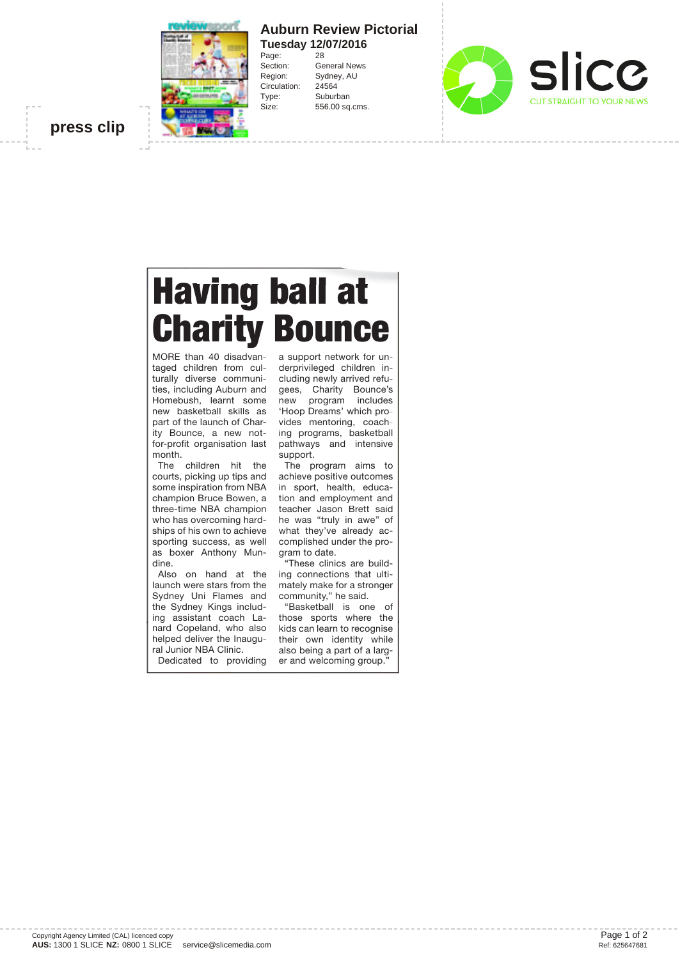

## **Auburn Review Pictorial Tuesday 12/07/2016**<br>Page: 28

General News Region: Sydney, AU Circulation: 24564 Type: Suburban Size: 556.00 sq.cms.



**press clip**

## Having ball at **Charity Bounce**

Page:<br>Section:

MORE than 40 disadvantaged children from culturally diverse communities, including Auburn and Homebush, learnt some new basketball skills as part of the launch of Charity Bounce, a new notfor-profit organisation last month.

The children hit the courts, picking up tips and some inspiration from NBA champion Bruce Bowen, a three-time NBA champion who has overcoming hardships of his own to achieve sporting success, as well as boxer Anthony Mundine.

Also on hand at the launch were stars from the Sydney Uni Flames and the Sydney Kings including assistant coach Lanard Copeland, who also helped deliver the Inaugural Junior NBA Clinic.

Dedicated to providing

a support network for underprivileged children including newly arrived refugees, Charity Bounce's new program includes 'Hoop Dreams' which provides mentoring, coaching programs, basketball pathways and intensive support.

The program aims to achieve positive outcomes in sport, health, education and employment and teacher Jason Brett said he was "truly in awe" of what they've already accomplished under the program to date.

"These clinics are building connections that ultimately make for a stronger community," he said.

"Basketball is one of those sports where the kids can learn to recognise their own identity while also being a part of a larger and welcoming group."